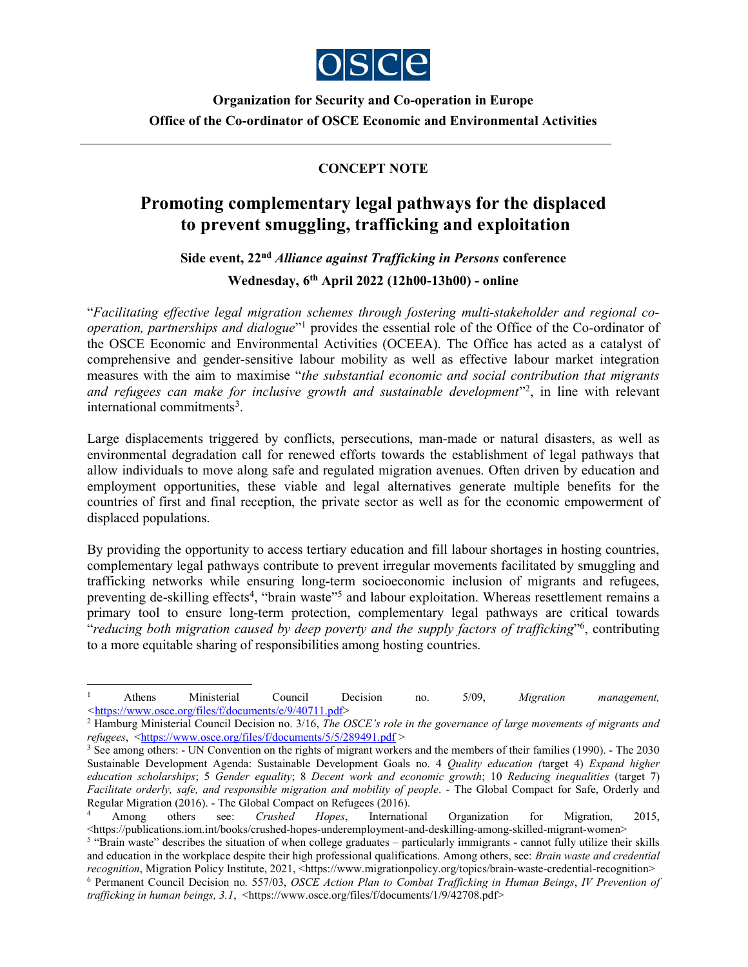

Organization for Security and Co-operation in Europe Office of the Co-ordinator of OSCE Economic and Environmental Activities

## CONCEPT NOTE

## Promoting complementary legal pathways for the displaced to prevent smuggling, trafficking and exploitation

Side event, 22<sup>nd</sup> Alliance against Trafficking in Persons conference

Wednesday, 6th April 2022 (12h00-13h00) - online

"Facilitating effective legal migration schemes through fostering multi-stakeholder and regional cooperation, partnerships and dialogue"<sup>1</sup> provides the essential role of the Office of the Co-ordinator of the OSCE Economic and Environmental Activities (OCEEA). The Office has acted as a catalyst of comprehensive and gender-sensitive labour mobility as well as effective labour market integration measures with the aim to maximise "the substantial economic and social contribution that migrants and refugees can make for inclusive growth and sustainable development"<sup>2</sup>, in line with relevant international commitments<sup>3</sup>.

Large displacements triggered by conflicts, persecutions, man-made or natural disasters, as well as environmental degradation call for renewed efforts towards the establishment of legal pathways that allow individuals to move along safe and regulated migration avenues. Often driven by education and employment opportunities, these viable and legal alternatives generate multiple benefits for the countries of first and final reception, the private sector as well as for the economic empowerment of displaced populations.

By providing the opportunity to access tertiary education and fill labour shortages in hosting countries, complementary legal pathways contribute to prevent irregular movements facilitated by smuggling and trafficking networks while ensuring long-term socioeconomic inclusion of migrants and refugees, preventing de-skilling effects<sup>4</sup>, "brain waste"<sup>5</sup> and labour exploitation. Whereas resettlement remains a primary tool to ensure long-term protection, complementary legal pathways are critical towards "reducing both migration caused by deep poverty and the supply factors of trafficking"<sup>6</sup>, contributing to a more equitable sharing of responsibilities among hosting countries.

-

<sup>1</sup> Athens Ministerial Council Decision no. 5/09, Migration management, <https://www.osce.org/files/f/documents/e/9/40711.pdf>

<sup>&</sup>lt;sup>2</sup> Hamburg Ministerial Council Decision no. 3/16, The OSCE's role in the governance of large movements of migrants and refugees, <https://www.osce.org/files/f/documents/5/5/289491.pdf >

<sup>&</sup>lt;sup>3</sup> See among others: - UN Convention on the rights of migrant workers and the members of their families (1990). - The 2030 Sustainable Development Agenda: Sustainable Development Goals no. 4 *Quality education (target 4) Expand higher* education scholarships; 5 Gender equality; 8 Decent work and economic growth; 10 Reducing inequalities (target 7) Facilitate orderly, safe, and responsible migration and mobility of people. - The Global Compact for Safe, Orderly and Regular Migration (2016). - The Global Compact on Refugees (2016).

<sup>4</sup> Among others see: *Crushed Hopes*, International Organization for Migration, 2015, <https://publications.iom.int/books/crushed-hopes-underemployment-and-deskilling-among-skilled-migrant-women>

<sup>&</sup>lt;sup>5</sup> "Brain waste" describes the situation of when college graduates – particularly immigrants - cannot fully utilize their skills and education in the workplace despite their high professional qualifications. Among others, see: Brain waste and credential recognition, Migration Policy Institute, 2021, <https://www.migrationpolicy.org/topics/brain-waste-credential-recognition>

<sup>&</sup>lt;sup>6</sup> Permanent Council Decision no. 557/03, OSCE Action Plan to Combat Trafficking in Human Beings, IV Prevention of trafficking in human beings,  $3.1$ , <https://www.osce.org/files/f/documents/1/9/42708.pdf>